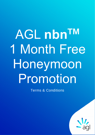## AGL nbn<sup>TM</sup> 1 Month Free Honeymoon Promotion

Terms & Conditions

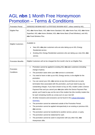## AGL **nbn** 1 Month Free Honeymoon Promotion – Terms & Conditions

| <b>Promotion Period</b>   | 03/05/2022 08:00AM AEST to 07/07/2022 08:00AM AEST, unless varied by AGL.                                                                                                                                                                                                                                                                                                                                                                                                                                                                                                                                                                                                                                                                                                                                                                                                                                                                                                                                                                                                                                                                                                                                                                                                        |
|---------------------------|----------------------------------------------------------------------------------------------------------------------------------------------------------------------------------------------------------------------------------------------------------------------------------------------------------------------------------------------------------------------------------------------------------------------------------------------------------------------------------------------------------------------------------------------------------------------------------------------------------------------------------------------------------------------------------------------------------------------------------------------------------------------------------------------------------------------------------------------------------------------------------------------------------------------------------------------------------------------------------------------------------------------------------------------------------------------------------------------------------------------------------------------------------------------------------------------------------------------------------------------------------------------------------|
| Eligible Plan             | AGL nbn Home Basic; AGL nbn Home Standard; AGL nbn Home Fast; AGL nbn Home<br>Superfast; AGL nbn Home Ultrafast; AGL nbn Home Basic (Fixed Wireless); and AGL<br>nbn Fixed Wireless Plus.                                                                                                                                                                                                                                                                                                                                                                                                                                                                                                                                                                                                                                                                                                                                                                                                                                                                                                                                                                                                                                                                                        |
| <b>Eligible Customers</b> | Available to:<br>New AGL nbn plan customers who are also taking up an AGL Energy<br>Residential service.<br>Existing AGL Energy Residential customers who are taking up a new AGL nbn<br>service.                                                                                                                                                                                                                                                                                                                                                                                                                                                                                                                                                                                                                                                                                                                                                                                                                                                                                                                                                                                                                                                                                |
| <b>Promotion Benefits</b> | Eligible Customers will not be charged the first month's fee for an Eligible Plan.                                                                                                                                                                                                                                                                                                                                                                                                                                                                                                                                                                                                                                                                                                                                                                                                                                                                                                                                                                                                                                                                                                                                                                                               |
| Promotion<br>Conditions   | Promotion cannot be applied to existing AGL nbn plan customers (including<br>$\bullet$<br>change of plans).<br>The promotion starts when your nbn service is connected.<br>٠<br>You need to have or take up an AGL Energy service, to be eligible for the<br>$\bullet$<br>promotion.<br>You can cancel your AGL nbn service at any time and there are no early<br>$\bullet$<br>termination fees associated with this promotion, you'll just need to pay any<br>outstanding charges. If you have chosen to buy an AGL modem under a Device<br>Payment Plan and you cancel your nbn plan within the Device Payment Plan<br>period, you'll need to pay out the rest of the modem fee (the monthly modem fee<br>for each remaining month) as a lump sum on your next bill.<br>All other inclusions and exclusions can be found in the Critical Information<br>٠<br>Summary.<br>The promotion cannot be redeemed outside of the Promotion Period.<br>٠<br>The promotion cannot be applied retrospectively to an existing or previous AGL<br>$\bullet$<br>nbn service.<br>The promotion cannot be transferred to another service, person, or party.<br>٠<br>The promotion cannot be redeemed for cash.<br>٠<br>The promotion cannot be used in conjunction with any other AGL nbn<br>٠ |